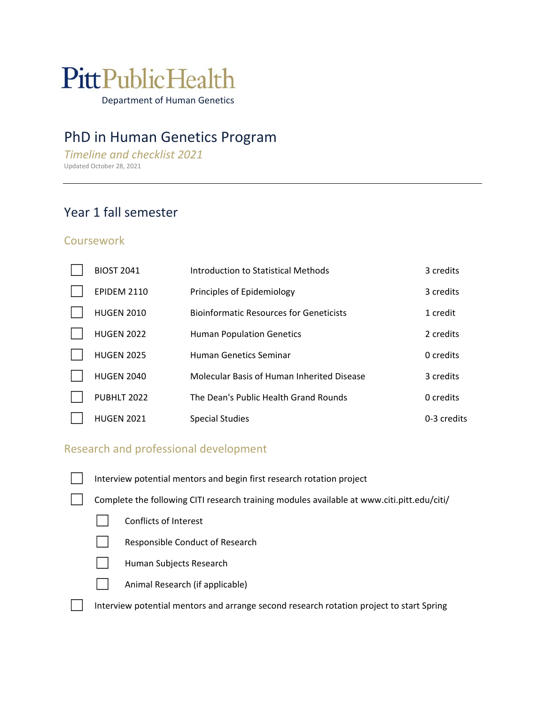# **PittPublicHealth**

Department of Human Genetics

# PhD in Human Genetics Program

*Timeline and checklist 2021*  Updated October 28, 2021

# Year 1 fall semester

#### **Coursework**

| <b>BIOST 2041</b>  | Introduction to Statistical Methods            | 3 credits   |
|--------------------|------------------------------------------------|-------------|
| <b>EPIDEM 2110</b> | Principles of Epidemiology                     | 3 credits   |
| <b>HUGEN 2010</b>  | <b>Bioinformatic Resources for Geneticists</b> | 1 credit    |
| <b>HUGEN 2022</b>  | <b>Human Population Genetics</b>               | 2 credits   |
| <b>HUGEN 2025</b>  | <b>Human Genetics Seminar</b>                  | 0 credits   |
| <b>HUGEN 2040</b>  | Molecular Basis of Human Inherited Disease     | 3 credits   |
| PUBHLT 2022        | The Dean's Public Health Grand Rounds          | 0 credits   |
| <b>HUGEN 2021</b>  | <b>Special Studies</b>                         | 0-3 credits |

#### Research and professional development

□ Interview potential mentors and begin first research rotation project

Complete the following CITI research training modules available at www.citi.pitt.edu/citi/

- □ Conflicts of Interest
	- Responsible Conduct of Research



☐ Animal Research (if applicable)

Interview potential mentors and arrange second research rotation project to start Spring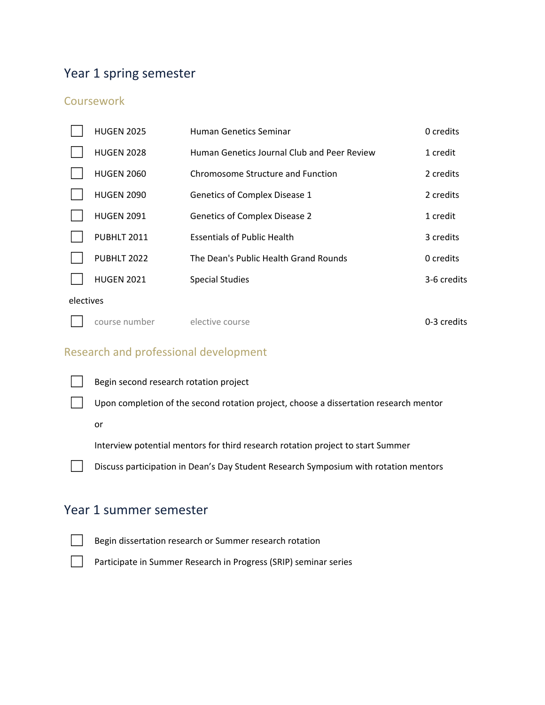# Year 1 spring semester

#### Coursework

|           | <b>HUGEN 2025</b> | Human Genetics Seminar                      | 0 credits   |
|-----------|-------------------|---------------------------------------------|-------------|
|           | <b>HUGEN 2028</b> | Human Genetics Journal Club and Peer Review | 1 credit    |
|           | <b>HUGEN 2060</b> | Chromosome Structure and Function           | 2 credits   |
|           | <b>HUGEN 2090</b> | Genetics of Complex Disease 1               | 2 credits   |
|           | <b>HUGEN 2091</b> | <b>Genetics of Complex Disease 2</b>        | 1 credit    |
|           | PUBHLT 2011       | <b>Essentials of Public Health</b>          | 3 credits   |
|           | PUBHLT 2022       | The Dean's Public Health Grand Rounds       | 0 credits   |
|           | <b>HUGEN 2021</b> | <b>Special Studies</b>                      | 3-6 credits |
| electives |                   |                                             |             |
|           | course number     | elective course                             | 0-3 credits |

## Research and professional development





or

Interview potential mentors for third research rotation project to start Summer

Discuss participation in Dean's Day Student Research Symposium with rotation mentors

## Year 1 summer semester



Begin dissertation research or Summer research rotation

Participate in Summer Research in Progress (SRIP) seminar series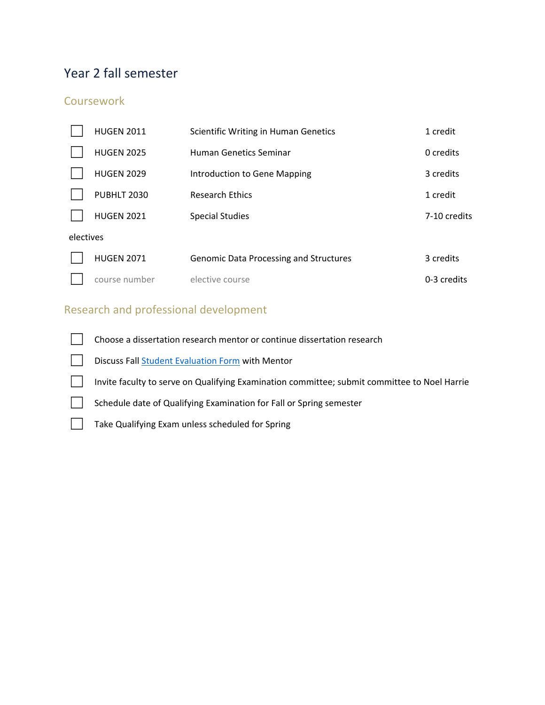# Year 2 fall semester

#### **Coursework**

|           | <b>HUGEN 2011</b> | Scientific Writing in Human Genetics          | 1 credit     |
|-----------|-------------------|-----------------------------------------------|--------------|
|           | <b>HUGEN 2025</b> | Human Genetics Seminar                        | 0 credits    |
|           | <b>HUGEN 2029</b> | Introduction to Gene Mapping                  | 3 credits    |
|           | PUBHLT 2030       | <b>Research Ethics</b>                        | 1 credit     |
|           | <b>HUGEN 2021</b> | <b>Special Studies</b>                        | 7-10 credits |
| electives |                   |                                               |              |
|           | <b>HUGEN 2071</b> | <b>Genomic Data Processing and Structures</b> | 3 credits    |
|           | course number     | elective course                               | 0-3 credits  |

## Research and professional development

□ Choose a dissertation research mentor or continue dissertation research

Discuss Fall Student Evaluation Form with Mentor

☐ Invite faculty to serve on Qualifying Examination committee; submit committee to Noel Harrie

Schedule date of Qualifying Examination for Fall or Spring semester

□ Take Qualifying Exam unless scheduled for Spring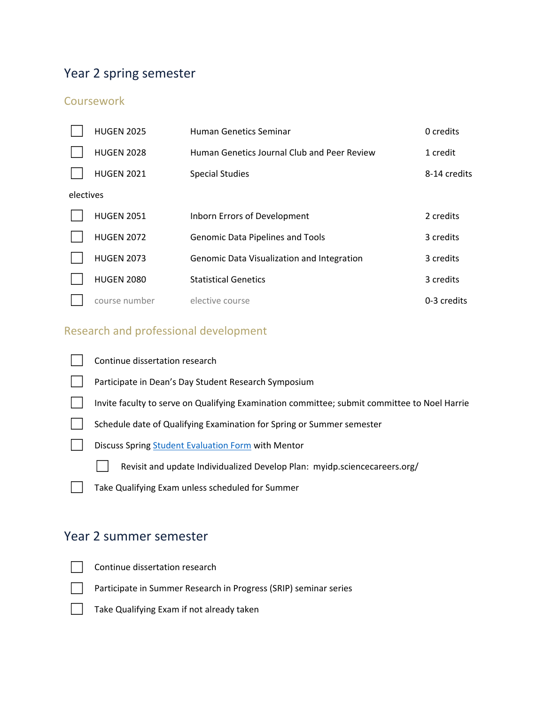# Year 2 spring semester

## **Coursework**

|           | <b>HUGEN 2025</b> | Human Genetics Seminar                      | 0 credits    |
|-----------|-------------------|---------------------------------------------|--------------|
|           | <b>HUGEN 2028</b> | Human Genetics Journal Club and Peer Review | 1 credit     |
|           | <b>HUGEN 2021</b> | <b>Special Studies</b>                      | 8-14 credits |
| electives |                   |                                             |              |
|           | <b>HUGEN 2051</b> | Inborn Errors of Development                | 2 credits    |
|           | <b>HUGEN 2072</b> | <b>Genomic Data Pipelines and Tools</b>     | 3 credits    |
|           | <b>HUGEN 2073</b> | Genomic Data Visualization and Integration  | 3 credits    |
|           | <b>HUGEN 2080</b> | <b>Statistical Genetics</b>                 | 3 credits    |
|           | course number     | elective course                             | 0-3 credits  |

# Research and professional development

| Continue dissertation research                                                               |
|----------------------------------------------------------------------------------------------|
| Participate in Dean's Day Student Research Symposium                                         |
| Invite faculty to serve on Qualifying Examination committee; submit committee to Noel Harrie |
| Schedule date of Qualifying Examination for Spring or Summer semester                        |
| Discuss Spring Student Evaluation Form with Mentor                                           |
| Revisit and update Individualized Develop Plan: myidp.sciencecareers.org/                    |
| Take Qualifying Exam unless scheduled for Summer                                             |
|                                                                                              |

# Year 2 summer semester

☐ Continue dissertation research

□ Participate in Summer Research in Progress (SRIP) seminar series



□ Take Qualifying Exam if not already taken